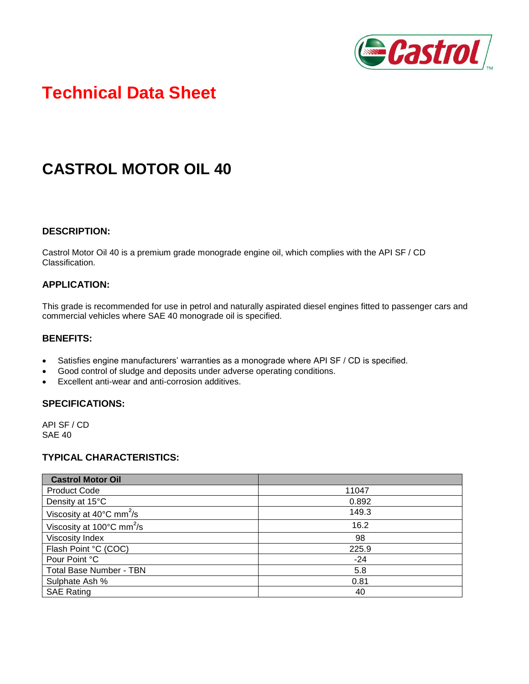

# **Technical Data Sheet**

# **CASTROL MOTOR OIL 40**

#### **DESCRIPTION:**

Castrol Motor Oil 40 is a premium grade monograde engine oil, which complies with the API SF / CD Classification.

### **APPLICATION:**

This grade is recommended for use in petrol and naturally aspirated diesel engines fitted to passenger cars and commercial vehicles where SAE 40 monograde oil is specified.

### **BENEFITS:**

- Satisfies engine manufacturers' warranties as a monograde where API SF / CD is specified.
- Good control of sludge and deposits under adverse operating conditions.
- Excellent anti-wear and anti-corrosion additives.

#### **SPECIFICATIONS:**

API SF / CD SAE 40

### **TYPICAL CHARACTERISTICS:**

| <b>Castrol Motor Oil</b>                        |       |
|-------------------------------------------------|-------|
| <b>Product Code</b>                             | 11047 |
| Density at 15°C                                 | 0.892 |
| Viscosity at $40^{\circ}$ C mm <sup>2</sup> /s  | 149.3 |
| Viscosity at $100^{\circ}$ C mm <sup>2</sup> /s | 16.2  |
| <b>Viscosity Index</b>                          | 98    |
| Flash Point °C (COC)                            | 225.9 |
| Pour Point °C                                   | $-24$ |
| <b>Total Base Number - TBN</b>                  | 5.8   |
| Sulphate Ash %                                  | 0.81  |
| <b>SAE Rating</b>                               | 40    |